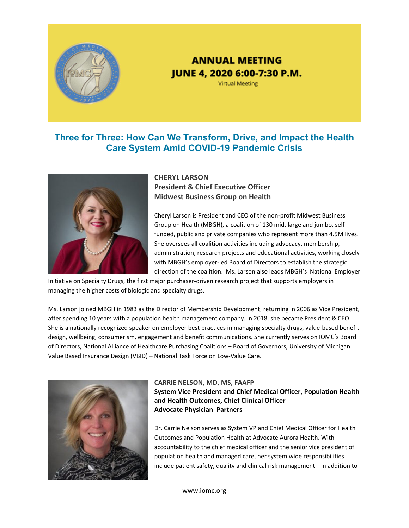

# **ANNUAL MEETING** JUNE 4, 2020 6:00-7:30 P.M.

**Virtual Meeting** 

### **Three for Three: How Can We Transform, Drive, and Impact the Health Care System Amid COVID-19 Pandemic Crisis**



### **CHERYL LARSON President & Chief Executive Officer Midwest Business Group on Health**

Cheryl Larson is President and CEO of the non‐profit Midwest Business Group on Health (MBGH), a coalition of 130 mid, large and jumbo, self‐ funded, public and private companies who represent more than 4.5M lives. She oversees all coalition activities including advocacy, membership, administration, research projects and educational activities, working closely with MBGH's employer-led Board of Directors to establish the strategic direction of the coalition. Ms. Larson also leads MBGH's National Employer

Initiative on Specialty Drugs, the first major purchaser‐driven research project that supports employers in managing the higher costs of biologic and specialty drugs.

Ms. Larson joined MBGH in 1983 as the Director of Membership Development, returning in 2006 as Vice President, after spending 10 years with a population health management company. In 2018, she became President & CEO. She is a nationally recognized speaker on employer best practices in managing specialty drugs, value-based benefit design, wellbeing, consumerism, engagement and benefit communications. She currently serves on IOMC's Board of Directors, National Alliance of Healthcare Purchasing Coalitions – Board of Governors, University of Michigan Value Based Insurance Design (VBID) – National Task Force on Low‐Value Care.



#### **CARRIE NELSON, MD, MS, FAAFP System Vice President and Chief Medical Officer, Population Health and Health Outcomes, Chief Clinical Officer Advocate Physician Partners**

Dr. Carrie Nelson serves as System VP and Chief Medical Officer for Health Outcomes and Population Health at Advocate Aurora Health. With accountability to the chief medical officer and the senior vice president of population health and managed care, her system wide responsibilities include patient safety, quality and clinical risk management—in addition to